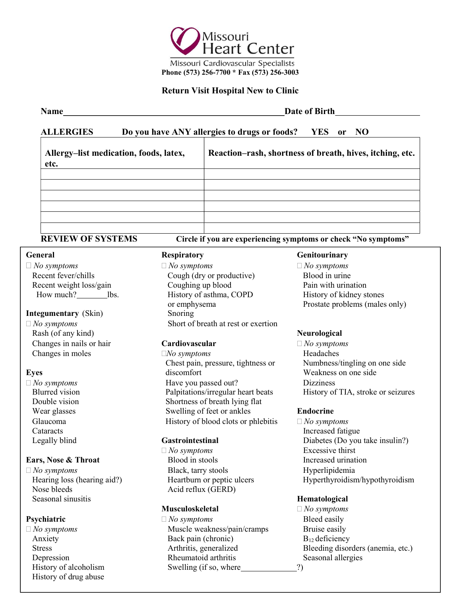

### Return Visit Hospital New to Clinic

### ALLERGIES Do you have ANY allergies to drugs or foods? YES or NO

| Allergy-list medication, foods, latex,<br>etc. | Reaction-rash, shortness of breath, hives, itching, etc. |
|------------------------------------------------|----------------------------------------------------------|
|                                                |                                                          |
|                                                |                                                          |
|                                                |                                                          |
|                                                |                                                          |
|                                                |                                                          |
|                                                |                                                          |

REVIEW OF SYSTEMS Circle if you are experiencing symptoms or check "No symptoms"

### **Integumentary** (Skin) Snoring

Changes in nails or hair **Cardiovascular**  $\Box$  No symptoms

 No symptoms Black, tarry stools Hyperlipidemia Nose bleeds Acid reflux (GERD) Seasonal sinusitis **Hematological** 

Anxiety **Stress** History of drug abuse

 $\Box$  No symptoms  $\Box$  No symptoms  $\Box$  No symptoms  $\Box$  No symptoms Recent fever/chills Cough (dry or productive) Blood in urine Recent weight loss/gain Coughing up blood Pain with urination How much? lbs. History of asthma, COPD History of kidney stones or emphysema Prostate problems (males only)  $\Box$  No symptoms Short of breath at rest or exertion Rash (of any kind) Neurological Neurological Neurological Neurological Neurological Neurological Neurological Neurological Neurological Neurological Neurological Neurological Neurological Neurological Neurological Neurolog

 $Changes$  in moles  $\Box No$  symptoms Headaches Chest pain, pressure, tightness or Numbness/tingling on one side Eyes discomfort Weakness on one side  $\Box$  No symptoms Have you passed out? Dizziness Double vision Shortness of breath lying flat Wear glasses Swelling of feet or ankles Endocrine Glaucoma  $H$ istory of blood clots or phlebitis  $\Box$  No symptoms

 $\Box$  No symptoms Excessive thirst **Ears, Nose & Throat** Blood in stools Increased urination

### **Musculoskeletal**  $\Box$  *No symptoms*

Depression Rheumatoid arthritis Seasonal allergies **Psychiatric** Bleed easily  $\Box$  No symptoms Bleed easily Back pain (chronic)  $B_{12}$  deficiency History of alcoholism Swelling (if so, where 2)

### General Respiratory Genitourinary

Blurred vision Palpitations/irregular heart beats History of TIA, stroke or seizures

 Cataracts Increased fatigue Legally blind **Gastrointestinal** Diabetes (Do you take insulin?) Hearing loss (hearing aid?) Heartburn or peptic ulcers Hyperthyroidism/hypothyroidism

If you are experience the pain of any chest pain of any term of any term of any term of any term of any term of any term of any term of any term of any term of any term of any term of any term of any term of any term of an  $\Box$  No symptoms Muscle weakness/pain/cramps Bruise easily Arthritis, generalized Bleeding disorders (anemia, etc.)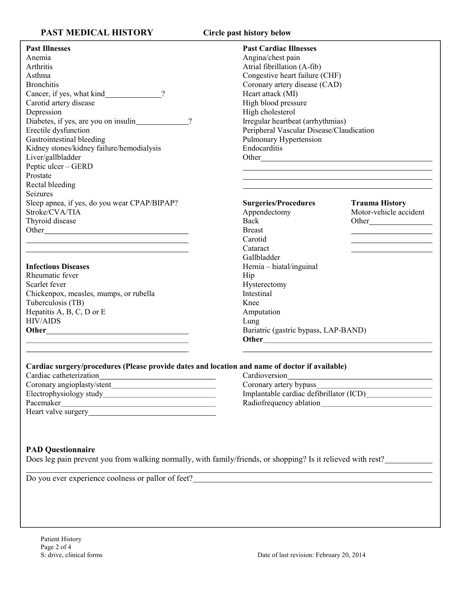## PAST MEDICAL HISTORY

|  | Circle past history below |  |
|--|---------------------------|--|
|--|---------------------------|--|

| <b>Past Illnesses</b>                                                                                                                                                                                                         | <b>Past Cardiac Illnesses</b>            |                                                                                                                                                                                                                               |
|-------------------------------------------------------------------------------------------------------------------------------------------------------------------------------------------------------------------------------|------------------------------------------|-------------------------------------------------------------------------------------------------------------------------------------------------------------------------------------------------------------------------------|
| Anemia                                                                                                                                                                                                                        | Angina/chest pain                        |                                                                                                                                                                                                                               |
| Arthritis                                                                                                                                                                                                                     | Atrial fibrillation (A-fib)              |                                                                                                                                                                                                                               |
| Asthma                                                                                                                                                                                                                        | Congestive heart failure (CHF)           |                                                                                                                                                                                                                               |
| <b>Bronchitis</b>                                                                                                                                                                                                             | Coronary artery disease (CAD)            |                                                                                                                                                                                                                               |
| Cancer, if yes, what kind<br>?                                                                                                                                                                                                | Heart attack (MI)                        |                                                                                                                                                                                                                               |
| Carotid artery disease                                                                                                                                                                                                        | High blood pressure                      |                                                                                                                                                                                                                               |
| Depression                                                                                                                                                                                                                    | High cholesterol                         |                                                                                                                                                                                                                               |
| Diabetes, if yes, are you on insulin<br>$\gamma$                                                                                                                                                                              | Irregular heartbeat (arrhythmias)        |                                                                                                                                                                                                                               |
| Erectile dysfunction                                                                                                                                                                                                          | Peripheral Vascular Disease/Claudication |                                                                                                                                                                                                                               |
| Gastrointestinal bleeding                                                                                                                                                                                                     | Pulmonary Hypertension                   |                                                                                                                                                                                                                               |
| Kidney stones/kidney failure/hemodialysis                                                                                                                                                                                     | Endocarditis                             |                                                                                                                                                                                                                               |
| Liver/gallbladder                                                                                                                                                                                                             |                                          |                                                                                                                                                                                                                               |
| Peptic ulcer - GERD                                                                                                                                                                                                           |                                          |                                                                                                                                                                                                                               |
| Prostate                                                                                                                                                                                                                      |                                          | the control of the control of the control of the control of the control of the control of the control of the control of the control of the control of the control of the control of the control of the control of the control |
| Rectal bleeding                                                                                                                                                                                                               |                                          |                                                                                                                                                                                                                               |
| Seizures                                                                                                                                                                                                                      |                                          |                                                                                                                                                                                                                               |
| Sleep apnea, if yes, do you wear CPAP/BIPAP?                                                                                                                                                                                  | <b>Surgeries/Procedures</b>              | <b>Trauma History</b>                                                                                                                                                                                                         |
| Stroke/CVA/TIA                                                                                                                                                                                                                | Appendectomy                             | Motor-vehicle accident                                                                                                                                                                                                        |
| Thyroid disease                                                                                                                                                                                                               | Back                                     | Other                                                                                                                                                                                                                         |
|                                                                                                                                                                                                                               | <b>Breast</b>                            |                                                                                                                                                                                                                               |
| the control of the control of the control of the control of the control of the control of the control of the control of the control of the control of the control of the control of the control of the control of the control | Carotid                                  |                                                                                                                                                                                                                               |
|                                                                                                                                                                                                                               | Cataract                                 |                                                                                                                                                                                                                               |
|                                                                                                                                                                                                                               | Gallbladder                              |                                                                                                                                                                                                                               |
| <b>Infectious Diseases</b>                                                                                                                                                                                                    | Hernia - hiatal/inguinal                 |                                                                                                                                                                                                                               |
| Rheumatic fever                                                                                                                                                                                                               | Hip                                      |                                                                                                                                                                                                                               |
| Scarlet fever                                                                                                                                                                                                                 | Hysterectomy                             |                                                                                                                                                                                                                               |
| Chickenpox, measles, mumps, or rubella                                                                                                                                                                                        | Intestinal                               |                                                                                                                                                                                                                               |
| Tuberculosis (TB)                                                                                                                                                                                                             | Knee                                     |                                                                                                                                                                                                                               |
| Hepatitis A, B, C, D or E                                                                                                                                                                                                     | Amputation                               |                                                                                                                                                                                                                               |
| <b>HIV/AIDS</b>                                                                                                                                                                                                               | Lung                                     |                                                                                                                                                                                                                               |
|                                                                                                                                                                                                                               | Bariatric (gastric bypass, LAP-BAND)     |                                                                                                                                                                                                                               |
|                                                                                                                                                                                                                               |                                          |                                                                                                                                                                                                                               |
| <u> 1989 - Johann Stein, marwolaethau a bhann an t-Amhair an t-Amhair an t-Amhair an t-Amhair an t-Amhair an t-A</u>                                                                                                          |                                          |                                                                                                                                                                                                                               |
|                                                                                                                                                                                                                               |                                          |                                                                                                                                                                                                                               |
| Cardiac surgery/procedures (Please provide dates and location and name of doctor if available)                                                                                                                                |                                          |                                                                                                                                                                                                                               |
| Cardiac catheterization                                                                                                                                                                                                       | Cardioversion                            |                                                                                                                                                                                                                               |
|                                                                                                                                                                                                                               | Coronary artery bypass                   |                                                                                                                                                                                                                               |
|                                                                                                                                                                                                                               |                                          |                                                                                                                                                                                                                               |
|                                                                                                                                                                                                                               |                                          |                                                                                                                                                                                                                               |
|                                                                                                                                                                                                                               |                                          |                                                                                                                                                                                                                               |
| <b>PAD Questionnaire</b><br>Does leg pain prevent you from walking normally, with family/friends, or shopping? Is it relieved with rest?                                                                                      |                                          |                                                                                                                                                                                                                               |
|                                                                                                                                                                                                                               |                                          |                                                                                                                                                                                                                               |
|                                                                                                                                                                                                                               |                                          |                                                                                                                                                                                                                               |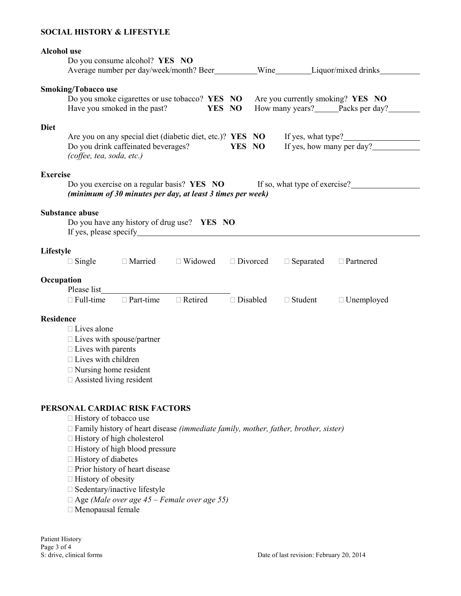### SOCIAL HISTORY & LIFESTYLE

| <b>Alcohol</b> use                                                                                                                                                                                  |                            | Do you consume alcohol? YES NO<br>Average number per day/week/month? Beer__________Wine_________Liquor/mixed drinks |                |        |                 |  |                                   |                                                                     |  |
|-----------------------------------------------------------------------------------------------------------------------------------------------------------------------------------------------------|----------------------------|---------------------------------------------------------------------------------------------------------------------|----------------|--------|-----------------|--|-----------------------------------|---------------------------------------------------------------------|--|
|                                                                                                                                                                                                     | <b>Smoking/Tobacco use</b> | Do you smoke cigarettes or use tobacco? YES NO<br>Have you smoked in the past?                                      |                | YES NO |                 |  |                                   | Are you currently smoking? YES NO<br>How many years? Packs per day? |  |
| <b>Diet</b>                                                                                                                                                                                         | (coffee, tea, soda, etc.)  | Are you on any special diet (diabetic diet, etc.)? YES NO<br>Do you drink caffeinated beverages?                    |                |        | YES NO          |  |                                   | If yes, how many per day?                                           |  |
| <b>Exercise</b><br>Do you exercise on a regular basis? YES NO If so, what type of exercise?<br>(minimum of 30 minutes per day, at least 3 times per week)                                           |                            |                                                                                                                     |                |        |                 |  |                                   |                                                                     |  |
| <b>Substance abuse</b><br>Do you have any history of drug use? YES NO                                                                                                                               |                            |                                                                                                                     |                |        |                 |  |                                   |                                                                     |  |
|                                                                                                                                                                                                     | Lifestyle                  |                                                                                                                     |                |        |                 |  |                                   |                                                                     |  |
|                                                                                                                                                                                                     | $\Box$ Single              | □ Married □ Widowed                                                                                                 |                |        | □ Divorced      |  | $\Box$ Separated $\Box$ Partnered |                                                                     |  |
| Occupation                                                                                                                                                                                          | Please list                |                                                                                                                     |                |        |                 |  |                                   |                                                                     |  |
|                                                                                                                                                                                                     | $\Box$ Full-time           | $\Box$ Part-time                                                                                                    | $\Box$ Retired |        | $\Box$ Disabled |  | $\Box$ Student                    | $\Box$ Unemployed                                                   |  |
| <b>Residence</b><br>$\Box$ Lives alone<br>$\Box$ Lives with spouse/partner<br>$\Box$ Lives with parents<br>$\Box$ Lives with children<br>$\Box$ Nursing home resident<br>□ Assisted living resident |                            |                                                                                                                     |                |        |                 |  |                                   |                                                                     |  |
| PERSONAL CARDIAC RISK FACTORS<br>$\Box$ History of tobacco use                                                                                                                                      |                            |                                                                                                                     |                |        |                 |  |                                   |                                                                     |  |

 $\Box$  Family history of heart disease (immediate family, mother, father, brother, sister)

- □ History of high cholesterol
- $\Box$  History of high blood pressure
- □ History of diabetes
- $\Box$  Prior history of heart disease
- □ History of obesity
- □ Sedentary/inactive lifestyle
- $\Box$  Age (Male over age 45 Female over age 55)
- Menopausal female